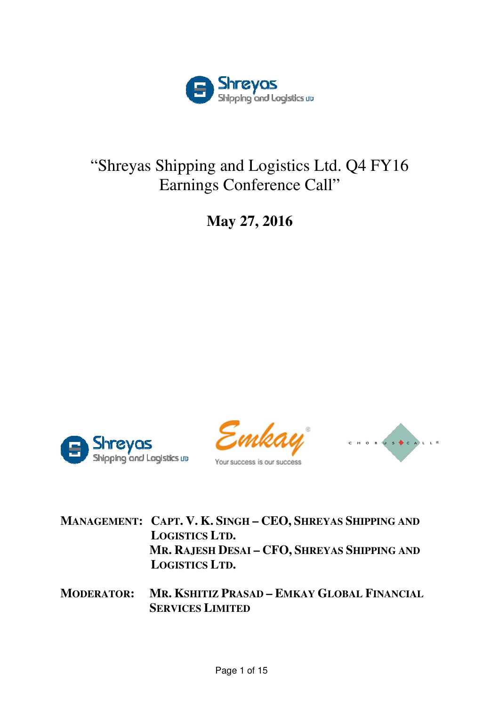

## "Shreyas Shipping and Logistics Ltd. Q4 FY16 Earnings Conference Call"

**May 27, 2016** 









**MANAGEMENT: CAPT. V. K. SINGH – CEO, SHREYAS SHIPPING AND LOGISTICS LTD. MR. R AJESH DESAI – CFO, SHREYAS SHIPPING AND LOGISTICS LTD.** 

 $M$ ODERATOR: **SERVICES LIMITED SHITIZ PRASAD – EMKAY GLOBAL FINANCIAL**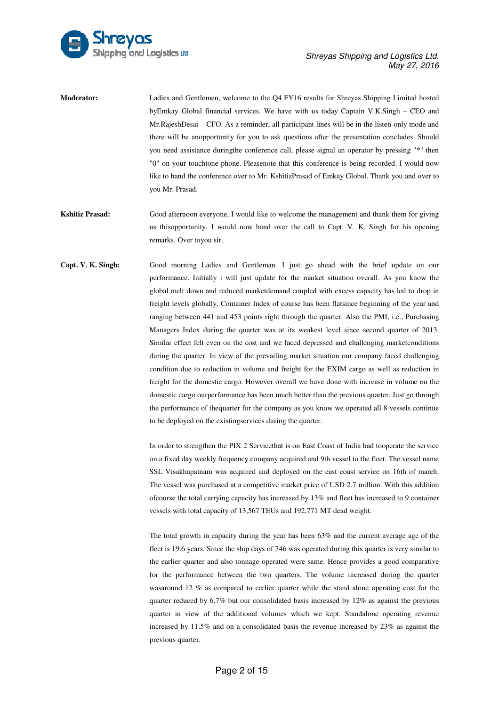

| <b>Moderator:</b> | Ladies and Gentlemen, welcome to the Q4 FY16 results for Shreyas Shipping Limited hosted         |
|-------------------|--------------------------------------------------------------------------------------------------|
|                   | by Emkay Global financial services. We have with us today Captain V.K.Singh – CEO and            |
|                   | Mr. Rajesh Desai – CFO. As a reminder, all participant lines will be in the listen-only mode and |
|                   | there will be anopportunity for you to ask questions after the presentation concludes. Should    |
|                   | you need assistance during the conference call, please signal an operator by pressing "*" then   |
|                   | "0" on your touchtone phone. Pleasenote that this conference is being recorded. I would now      |
|                   | like to hand the conference over to Mr. KshitizPrasad of Emkay Global. Thank you and over to     |
|                   | vou Mr. Prasad.                                                                                  |
|                   |                                                                                                  |

- **Kshitiz Prasad:** Good afternoon everyone, I would like to welcome the management and thank them for giving us thisopportunity. I would now hand over the call to Capt. V. K. Singh for his opening remarks. Over toyou sir.
- **Capt. V. K. Singh:** Good morning Ladies and Gentleman. I just go ahead with the brief update on our performance. Initially i will just update for the market situation overall. As you know the global melt down and reduced marketdemand coupled with excess capacity has led to drop in freight levels globally. Container Index of course has been flatsince beginning of the year and ranging between 441 and 453 points right through the quarter. Also the PMI, i.e., Purchasing Managers Index during the quarter was at its weakest level since second quarter of 2013. Similar effect felt even on the cost and we faced depressed and challenging marketconditions during the quarter. In view of the prevailing market situation our company faced challenging condition due to reduction in volume and freight for the EXIM cargo as well as reduction in freight for the domestic cargo. However overall we have done with increase in volume on the domestic cargo ourperformance has been much better than the previous quarter. Just go through the performance of thequarter for the company as you know we operated all 8 vessels continue to be deployed on the existingservices during the quarter. st and we faced depressed and challenging market<br>conditions<br>e prevailing market situation our company faced challenging<br>ume and freight for the EXIM cargo as well as reduction in<br>owever overall we have done with increase i

In order to strengthen the PIX 2 Servicethat is on East Coast of India had tooper on a fixed day weekly frequency company acquired and 9th vessel to the fleet. The vessel name SSL Visakhapatnam was acquired and deployed on the east coast service on 16th of march. The vessel was purchased at a competitive market price of USD 2.7 million. With this addition ofcourse the total carrying capacity has increased by 13% and fleet has increased to 9 container vessels with total capacity of 13,567 TEUs and 192,771 MT dead weight.

The total growth in capacity during the year has been  $63\%$  and the current average age of the fleet is 19.6 years. Since the ship days of 746 was operated during this quarter is very similar to the earlier quarter and also tonnage operated were same. Hence provides a good comparative for the performance between the two quarters. The volume increased during the quarter wasaround 12 % as compared to earlier quarter while the stand alone operating cost for the quarter reduced by 6.7% but our consolidated basis increased by 12% as against the previous quarter in view of the additional volumes which we kept. Standalone operating revenue increased by 11.5% and on a consolidated basis the revenue increased by 23% as against the previous quarter. the two quarters. The volume increased during the quarter<br>to earlier quarter while the stand alone operating cost for the<br>ur consolidated basis increased by  $12\%$  as against the previous<br>onal volumes which we kept. Stand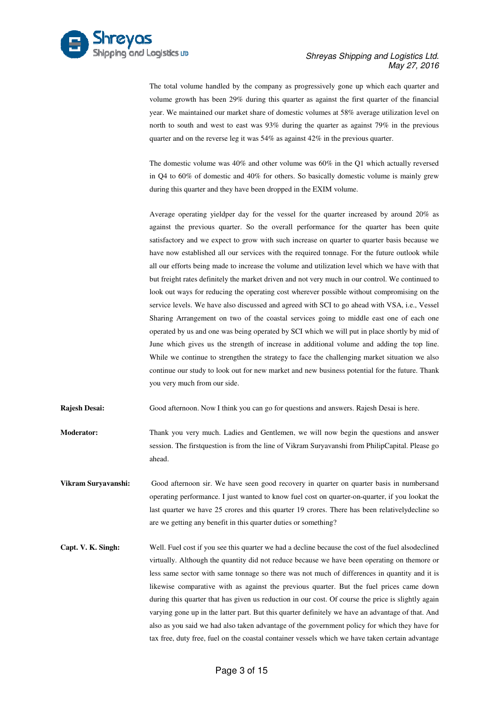

The total volume handled by the company as progressively gone up which each quarter and volume growth has been 29% during this quarter as against the first quarter of the financial year. We maintained our market share of domestic volumes at 58% average utilization level on north to south and west to east was 93% during the quarter as against 79 quarter and on the reverse leg it was  $54\%$  as against  $42\%$  in the previous quarter. lume growth has been 29% during this quarter as against the first quarter c<br>ar. We maintained our market share of domestic volumes at 58% average utili<br>rth to south and west to east was 93% during the quarter as against 79 79% in the previous

The domestic volume was  $40\%$  and other volume was  $60\%$  in the Q1 which actually reversed in Q4 to  $60\%$  of domestic and  $40\%$  for others. So basically domestic volume is mainly grew during this quarter and they have been dropped in the EXIM volume.

Average operating yieldper day for the vessel for the quarter increased by around 20% as against the previous quarter. So the overall performance for the quarter has b been quite satisfactory and we expect to grow with such increase on quarter to quarter basis be because we have now established all our services with the required tonnage. For the future outlook while all our efforts being made to increase the volume and utilization level which we have with that but freight rates definitely the market driven and not very much in our control. We continued to look out ways for reducing the operating cost wherever possible without compromising on the service levels. We have also discussed and agreed with SCI to go ahead with VSA, i.e., Vessel Sharing Arrangement on two of the coastal services going to middle east one of each one operated by us and one was being operated by SCI which we will put in place shortly by mid of June which gives us the strength of increase in additional volume and adding the top line. While we continue to strengthen the strategy to face the challenging market situation we also operated by us and one was being operated by SCI which we will put in place shortly by mid of<br>June which gives us the strength of increase in additional volume and adding the top line.<br>While we continue to strengthen the s you very much from our side.

**Rajesh Desai:** Good afternoon. Now I think you can go for questions and answers. Rajesh Desai is here.

- **Moderator:** Thank you very much. Ladies and Gentlemen, we will now begin the questions and answer Thank you very much. Ladies and Gentlemen, we will now begin the questions and answer<br>session. The firstquestion is from the line of Vikram Suryavanshi from PhilipCapital. Please go ahead.
- **Vikram Suryavanshi:** Good afternoon sir. We have seen good recovery in quarter on quarter basis in numbersand operating performance. I just wanted to know fuel cost on quarter-on-quarter, if you lookat the last quarter we have 25 crores and this quarter 19 crores. There has been relativelydecline so are we getting any benefit in this quarter duties or something?
- **Capt. V. K. Singh:** Well. Fuel cost if you see this quarter we had a decline because the cost of the fuel alsodeclined virtually. Although the quantity did not reduce because we have been operating on themore or less same sector with same tonnage so there was not much of differences in quantity and it is likewise comparative with as against the previous quarter. But the fuel prices came down during this quarter that has given us reduction in our cost. Of course the price is slightly again varying gone up in the latter part. But this quarter definitely we have an advantage of that. And also as you said we had also taken advantage of the government policy for which they have for tax free, duty free, fuel on the coastal container vessels which we have taken certain advantage r we had a decline because the cost of the fuel alsodeclined<br>not reduce because we have been operating on themore or<br>so there was not much of differences in quantity and it is<br>st the previous quarter. But the fuel prices c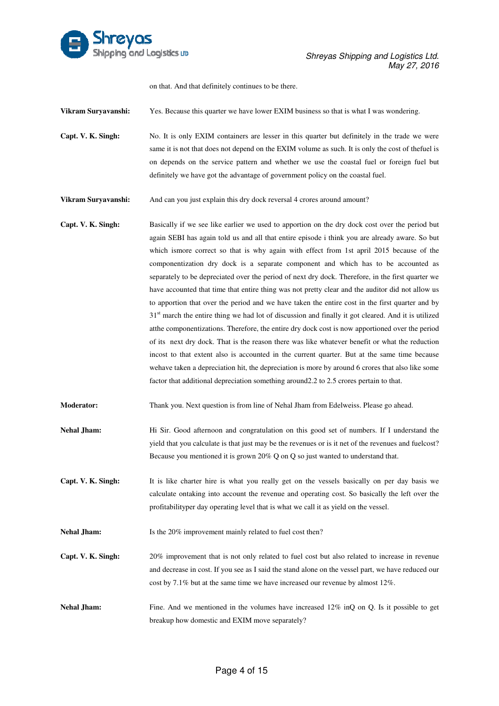

on that. And that definitely continues to b be there.

**Vikram Suryavanshi:** Yes. Because this quarter we have lower EXIM business so that is what I was wondering.

Vikram Suryavanshi: Yes. Because this quarter we have lower EXIM business so that is what I was wondering.<br> **Capt. V. K. Singh:** No. It is only EXIM containers are lesser in this quarter but definitely in the trade we were same it is not that does not depend on the EXIM volume as such. It is only the cost of thefuel is same it is not that does not depend on the EXIM volume as such. It is only the cost of the fuel is<br>on depends on the service pattern and whether we use the coastal fuel or foreign fuel but definitely we have got the advantage of government policy on the coastal fuel.

**Vikram Suryavanshi:** And can you just explain this dry dock reversal 4 crores around amount?

**Capt. V. K. Singh:** Basically if we see like earlier we used to apportion on the dry dock cost over the period but again SEBI SEBI has again told us and all that entire episode i think you are already aware. So but again SEBI has again told us and all that entire episode i think you are already aware. So but<br>which ismore correct so that is why again with effect from 1st april 2015 because of the componentization dry dock is a separate component and which has to be accounted as separately to be depreciated over the period of next dry dock. Therefore, in the first quarter we have accounted that time that entire thing was not pretty clear and the auditor did not allow us to apportion that over the period and we have taken the entire cost in the first quarter and by 31<sup>st</sup> march the entire thing we had lot of discussion and finally it got cleared. And it is utilized atthe componentizations. Therefore, the entire dry dock cost is now apportioned over the period of its next dry dock. That is the reason there was like whatever benefit or what the reduction incost to that extent also is accounted in the current quarter. But at the same time because wehave taken a depreciation hit, the depreciation is more by around 6 crores that factor that additional depreciation something around 2.2 to 2.5 crores pertain to that. ke whatever benefit or what the reduction<br>nt quarter. But at the same time because<br>nore by around 6 crores that also like some

Moderator: Thank you. Next question is from line of Nehal Jham from Edelweiss. Please go ahead.

- Nehal Jham: Hi Sir. Good afternoon and congratulation on this good set of numbers. If I understand the yield that you calculate is that just may be the r revenues or is it net of the evenues the revenues and fuelcost? Because you mentioned it is grown 20% Q on Q so just wanted to understand that.
- **Capt. V. K. Singh:** calculate ontaking into account the revenue and operating cost. So basically the left over the profitabilityper day operating level that is what we call it as yield on the vessel. It is like charter hire is what you really get on the vessels basically on per day basis we

**Nehal Jham:** Is the 20% improvement mainly related to fuel cost then?

- **Capt. V. K. Singh:** 20% improvement that is not only related to fuel cost but also related to increase in revenue and decrease in cost. If you see as I said the stand alone on the vessel part, we have reduced our cost by 7.1% but at the same time we have increased our revenue by almost 12%.
- **Nehal Jham:** Fine. And we mentioned in the volumes have increased 12% inQ on Q. Is it possible to get breakup how domestic and EXIM move separately?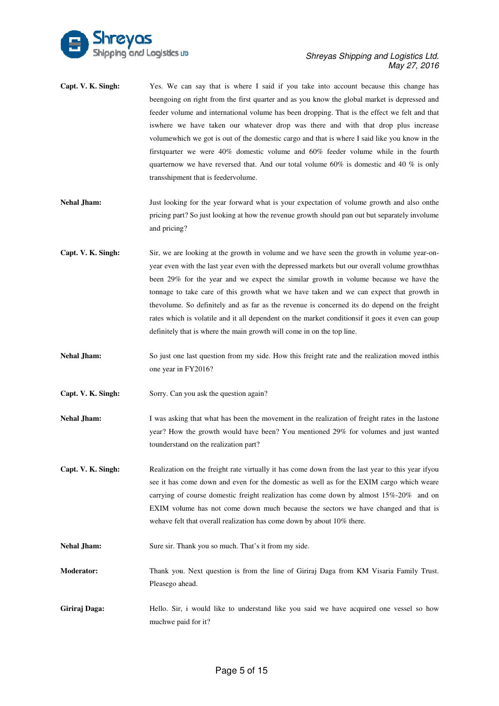

- **Capt. V. K. Singh:** Yes. We can say that is where I said if you take into account because this change has beengoing on right from the first quarter and as you know the global market is depressed and feeder volume and international volume has been dropping. That is the effect we felt and that iswhere we have taken our whatever drop was there and with that drop plus increase volumewhich we got is out of the domestic cargo and that is where I firstquarter we were 40% domestic volume and 60% feeder volume while in the fourth quarternow we have reversed that. And our total volume 60% is domestic and 40 % is only transshipment that is feedervolume. global market is depressed and<br>at is the effect we felt and that<br>with that drop plus increase<br>nere I said like you know in the
- Nehal Jham: Just looking for the year forward what is your expectation of volume growth and also onthe pricing part? So just looking at how the revenue growth should pan out but separately involume and pricing?
- **Capt. V. K. Singh:** Sir, we are looking at the growth in volume and we have seen the growth in volume year-onyear even with the last year even with the depressed markets but our overall volume growthhas been 29% for the year and we expect the similar growth in volume because we have the tonnage to take care of this growth what we have taken and we can expect that growth in thevolume. So definitely and as far as the revenue is concerned its do depend on the freight rates which is volatile and it all dependent on the market conditionsif it goes it even can goup definitely that is where the main growth will come in on the top line. nitely and as far as the revenue is concerned its do depend on the freight<br>tile and it all dependent on the market conditionsif it goes it even can goup<br>lere the main growth will come in on the top line.<br>Sestion from my si
- **Nehal Jham:** So just one last question from my side. How this freight rate and the realization moved inthis one year in FY2016?
- **Capt. V. K. Singh:** Sorry. Can you ask the question again?
- **Nehal Jham:** I was asking that what has been the movement in the realization of freight rates in the lastone year? How the growth would have been? You mentioned 29% for volumes and just wanted tounderstand on the realization part?
- **Capt. V. K. Singh:** Realization on the freight rate virtually it has come down from the last year to this year ifyou see it has come down and even for the domestic as well as for the EXIM cargo which weare carrying of course domestic freight realization has come down by almost 15% 15%-20% and on EXIM volume has not come down much because the sectors we have changed and that is wehave felt that overall realization has come down by about 10% there.
- **Nehal Jham:** Sure sir. Thank you so much. That's it from my side.

Moderator: Thank you. Next question is from the line of Giriraj Daga from KM Visaria Family Trust. Pleasego ahead.

Giriraj Daga: Hello. Sir, i would like to understand like you said we have acquired one vessel so how muchwe paid for it?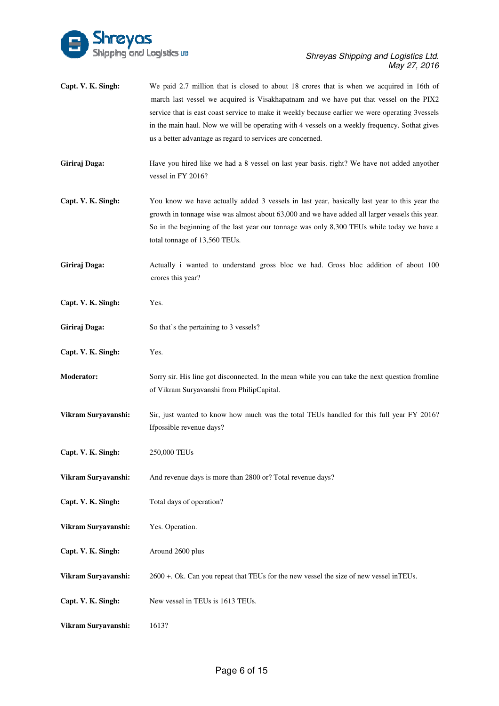

| Capt. V. K. Singh:  | We paid 2.7 million that is closed to about 18 crores that is when we acquired in 16th of<br>march last vessel we acquired is Visakhapatnam and we have put that vessel on the PIX2<br>service that is east coast service to make it weekly because earlier we were operating 3vessels<br>in the main haul. Now we will be operating with 4 vessels on a weekly frequency. Sothat gives<br>us a better advantage as regard to services are concerned. |
|---------------------|-------------------------------------------------------------------------------------------------------------------------------------------------------------------------------------------------------------------------------------------------------------------------------------------------------------------------------------------------------------------------------------------------------------------------------------------------------|
| Giriraj Daga:       | Have you hired like we had a 8 vessel on last year basis. right? We have not added anyother<br>vessel in FY 2016?                                                                                                                                                                                                                                                                                                                                     |
| Capt. V. K. Singh:  | You know we have actually added 3 vessels in last year, basically last year to this year the<br>growth in tonnage wise was almost about 63,000 and we have added all larger vessels this year.<br>So in the beginning of the last year our tonnage was only 8,300 TEUs while today we have a<br>total tonnage of 13,560 TEUs.                                                                                                                         |
| Giriraj Daga:       | Actually i wanted to understand gross bloc we had. Gross bloc addition of about 100<br>crores this year?                                                                                                                                                                                                                                                                                                                                              |
| Capt. V. K. Singh:  | Yes.                                                                                                                                                                                                                                                                                                                                                                                                                                                  |
| Giriraj Daga:       | So that's the pertaining to 3 vessels?                                                                                                                                                                                                                                                                                                                                                                                                                |
| Capt. V. K. Singh:  | Yes.                                                                                                                                                                                                                                                                                                                                                                                                                                                  |
| <b>Moderator:</b>   | Sorry sir. His line got disconnected. In the mean while you can take the next question from line<br>of Vikram Suryavanshi from PhilipCapital.                                                                                                                                                                                                                                                                                                         |
| Vikram Suryavanshi: | Sir, just wanted to know how much was the total TEUs handled for this full year FY 2016?<br>If possible revenue days?                                                                                                                                                                                                                                                                                                                                 |
| Capt. V. K. Singh:  | 250,000 TEUs                                                                                                                                                                                                                                                                                                                                                                                                                                          |
| Vikram Suryavanshi: | And revenue days is more than 2800 or? Total revenue days?                                                                                                                                                                                                                                                                                                                                                                                            |
| Capt. V. K. Singh:  | Total days of operation?                                                                                                                                                                                                                                                                                                                                                                                                                              |
| Vikram Suryavanshi: | Yes. Operation.                                                                                                                                                                                                                                                                                                                                                                                                                                       |
| Capt. V. K. Singh:  | Around 2600 plus                                                                                                                                                                                                                                                                                                                                                                                                                                      |
| Vikram Suryavanshi: | 2600 +. Ok. Can you repeat that TEUs for the new vessel the size of new vessel inTEUs.                                                                                                                                                                                                                                                                                                                                                                |
| Capt. V. K. Singh:  | New vessel in TEUs is 1613 TEUs.                                                                                                                                                                                                                                                                                                                                                                                                                      |
| Vikram Suryavanshi: | 1613?                                                                                                                                                                                                                                                                                                                                                                                                                                                 |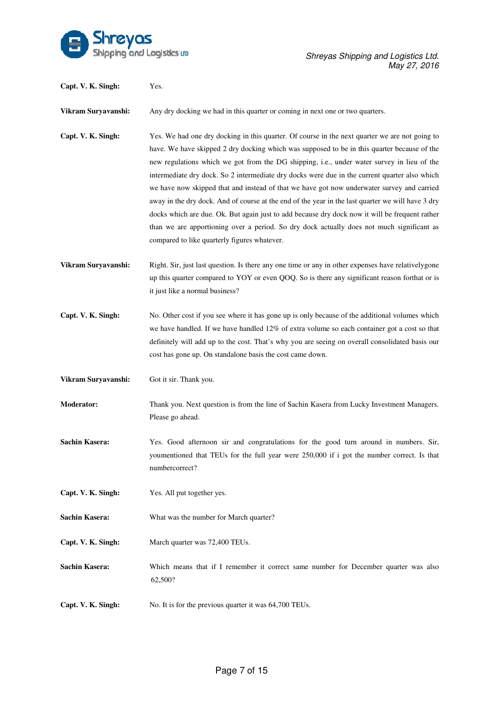

| Capt. V. K. Singh:    | Yes.                                                                                                                                                                                                                                                                                                                                                                                                                                                                                                                                                                                                                                                                                                                                                                                                                                           |
|-----------------------|------------------------------------------------------------------------------------------------------------------------------------------------------------------------------------------------------------------------------------------------------------------------------------------------------------------------------------------------------------------------------------------------------------------------------------------------------------------------------------------------------------------------------------------------------------------------------------------------------------------------------------------------------------------------------------------------------------------------------------------------------------------------------------------------------------------------------------------------|
| Vikram Suryavanshi:   | Any dry docking we had in this quarter or coming in next one or two quarters.                                                                                                                                                                                                                                                                                                                                                                                                                                                                                                                                                                                                                                                                                                                                                                  |
| Capt. V. K. Singh:    | Yes. We had one dry docking in this quarter. Of course in the next quarter we are not going to<br>have. We have skipped 2 dry docking which was supposed to be in this quarter because of the<br>new regulations which we got from the DG shipping, i.e., under water survey in lieu of the<br>intermediate dry dock. So 2 intermediate dry docks were due in the current quarter also which<br>we have now skipped that and instead of that we have got now underwater survey and carried<br>away in the dry dock. And of course at the end of the year in the last quarter we will have 3 dry<br>docks which are due. Ok. But again just to add because dry dock now it will be frequent rather<br>than we are apportioning over a period. So dry dock actually does not much significant as<br>compared to like quarterly figures whatever. |
| Vikram Suryavanshi:   | Right. Sir, just last question. Is there any one time or any in other expenses have relatively gone<br>up this quarter compared to YOY or even QOQ. So is there any significant reason forthat or is<br>it just like a normal business?                                                                                                                                                                                                                                                                                                                                                                                                                                                                                                                                                                                                        |
| Capt. V. K. Singh:    | No. Other cost if you see where it has gone up is only because of the additional volumes which<br>we have handled. If we have handled 12% of extra volume so each container got a cost so that<br>definitely will add up to the cost. That's why you are seeing on overall consolidated basis our<br>cost has gone up. On standalone basis the cost came down.                                                                                                                                                                                                                                                                                                                                                                                                                                                                                 |
| Vikram Suryavanshi:   | Got it sir. Thank you.                                                                                                                                                                                                                                                                                                                                                                                                                                                                                                                                                                                                                                                                                                                                                                                                                         |
| <b>Moderator:</b>     | Thank you. Next question is from the line of Sachin Kasera from Lucky Investment Managers.<br>Please go ahead.                                                                                                                                                                                                                                                                                                                                                                                                                                                                                                                                                                                                                                                                                                                                 |
| <b>Sachin Kasera:</b> | Yes. Good afternoon sir and congratulations for the good turn around in numbers. Sir,<br>youmentioned that TEUs for the full year were 250,000 if i got the number correct. Is that<br>numbercorrect?                                                                                                                                                                                                                                                                                                                                                                                                                                                                                                                                                                                                                                          |
| Capt. V. K. Singh:    | Yes. All put together yes.                                                                                                                                                                                                                                                                                                                                                                                                                                                                                                                                                                                                                                                                                                                                                                                                                     |
| <b>Sachin Kasera:</b> | What was the number for March quarter?                                                                                                                                                                                                                                                                                                                                                                                                                                                                                                                                                                                                                                                                                                                                                                                                         |
| Capt. V. K. Singh:    | March quarter was 72,400 TEUs.                                                                                                                                                                                                                                                                                                                                                                                                                                                                                                                                                                                                                                                                                                                                                                                                                 |
| <b>Sachin Kasera:</b> | Which means that if I remember it correct same number for December quarter was also<br>62,500?                                                                                                                                                                                                                                                                                                                                                                                                                                                                                                                                                                                                                                                                                                                                                 |
| Capt. V. K. Singh:    | No. It is for the previous quarter it was 64,700 TEUs.                                                                                                                                                                                                                                                                                                                                                                                                                                                                                                                                                                                                                                                                                                                                                                                         |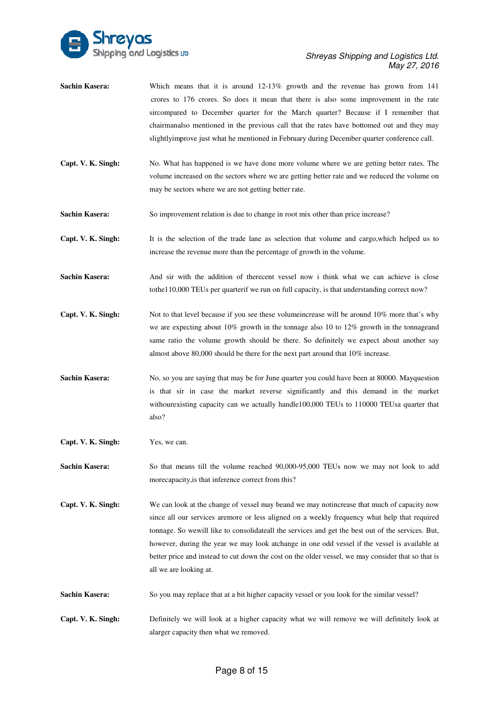

- **Sachin Kasera:** Which means that it is around 12-13% growth and the revenue has grown from 141 crores to 176 crores. So does it mean that there is also some improvement in the rate sircompared to December quarter for the March quarter? Because if I remember that Which means that it is around 12-13% growth and the revenue has grown from 141 crores to 176 crores. So does it mean that there is also some improvement in the rate sircompared to December quarter for the March quarter? Be slightlyimprove just what he mentioned in February during December quarter conference call.
- **Capt. V. K. Singh:** No. What has happened is we have done more volume where we are getting better rates. The volume increased on the sectors where we are getting better rate and we reduced the volume on may be sectors where we are not getting better rate. Example 18 volume increased on the sectors where we are getting better rate and we reduced the volume on<br>
may be sectors where we are not getting better rate.<br> **Capt. V. K. Singh:**<br> **Capt. V. K. Singh:**<br>
It is the selectio lightlyimprove just what he mentioned in February during December quarter conference call.<br>No. What has happened is we have done more volume where we are getting better rates. The<br>rolume increased on the sectors where we a
- **Sachin Kasera:** So improvement relation is due to change in root mix other than price increase?

increase the revenue more than the percentage of growth in the volume.

**Sachin Kasera:** And sir with the addition of therecent vessel now i think what we can achieve is close tothe110,000 TEUs per quarterif we run on full capacity, is that understanding correct now?

- **Capt. V. K. Singh:** Not to that level because if you see these volumeincrease will be around 10% more that's why we are expecting about  $10\%$  growth in the tonnage also 10 to 12% growth in the tonnageand same ratio the volume growth should be there. So definitely we expect about another say almost above 80 80,000 should be there for the next part around that 10% increase.
- almost above 80,000 should be there for the next part around that 10% increase.<br> **Sachin Kasera:** No, so you are saying that may be for June quarter you could have been at 80000. Mayquestion is that sir in case the market reverse significantly and this demand in the market withourexisting capacity can we actually handle100,000 TEUs to 110000 TEUsa quarter that also?
- **Capt. V. K. Singh:** Yes, we can.

**Sachin Kasera:** So that means till the volume reached 90,000-95,000 TEUs now we may not look to add morecapacity,is that inference correct from this?

- **Capt. V. K. Singh:** We can look at the change of vessel may beand we may notincrease that much of capacity now since all our services aremore or less aligned on a weekly frequency what help that required tonnage. S So wewill like to consolidateall the services and get the best out of the services. But, however, during the year we may look atchange in one odd vessel if the vessel is available at better price and instead to cut down the cost on the older vessel, we may consider that so that is all we are looking at.
- **Sachin Kasera:** So you may replace that at a bit higher capacity vessel or you look for the similar vessel?
- **Capt. V. K. Singh:** alarger capacity then what we removed. Definitely we will look at a higher capacity what we will remove we will definitely look at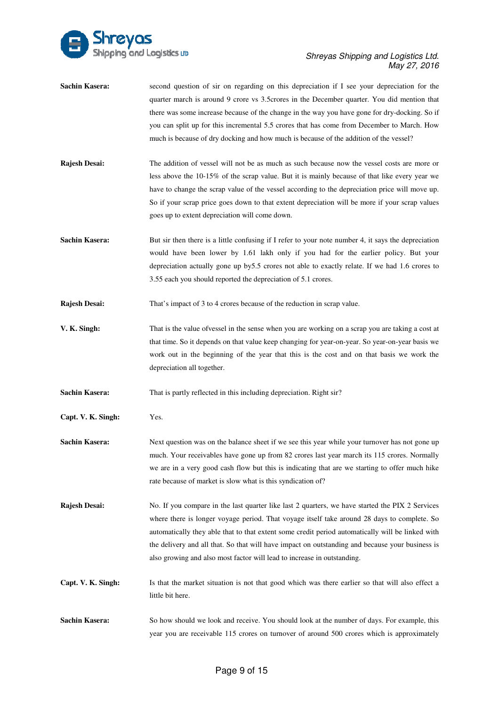

- **Sachin Kasera:** second question of sir on regarding on this depreciation if I see your depreciation for the quarter march is around 9 crore vs 3.5 crores in the December quarter. You did mention that there was some increase because of the change in the way you have gone for dry-docking. So if you can split up for this incremental 5.5 crores that has come from December to March. How much is because of dry docking and how much is because of the addition of the vessel?
- **Rajesh Desai:** The addition of vessel will not be as much as such because now the vessel costs are more or less above the 10 10-15% of the scrap value. But it is mainly because of that like every year we less above the 10-15% of the scrap value. But it is mainly because of that like every year we have to change the scrap value of the vessel according to the depreciation price will move up. So if your scrap price goes down to that extent depreciation will be more if your scrap values goes up to extent depreciation will come down.
- **Sachin Kasera:** But sir then there is a little confusing if I refer to your note number 4, it says the depreciation would have been lower by 1.61 lakh only if you had for the earlier policy. But your depreciation actually gone up by by5.5 crores not able to exactly relate. If we had 1.6 crores to 3.55 each you should reported the depreciation of 5.1 crores.
- **Rajesh Desai:** That's impact of 3 to 4 crores because of the reduction in scrap value.
- **V. K. Singh:** That is the value ofvessel in the sense when you are working on a scrap you are taking a cost at That is the value ofvessel in the sense when you are working on a scrap you are taking a cost at<br>that time. So it depends on that value keep changing for year-on-year. So year-on-year basis we work out in the beginning of the year that this is the cost and on that basis we work the depreciation all together.
- depreciation all together.<br>**Sachin Kasera:** That is partly reflected in this including depreciation. Right sir?
- **Capt. V. K. Singh:** Yes.
- **Sachin Kasera:** Next question was on the balance sheet if we see this year while your turnover has not gone up much. Your receivables have gone up from 82 crores last year march its 115 crores. Normally we are in a very good cash flow but this is indicating that are we starting to offer much hike rate because of market is slow what is this syndication of?
- **Rajesh Desai:** where there is longer voyage period. That voyage itself take around 28 days to complete. So automatically they able that to that extent some credit period automatically will be linked with the delivery and all that. So that will have impact on outstanding and because your business is also growing and also most factor will lead to increase in outstanding. compare in the last quarter like last 2 quarters, we have started the PIX 2 Services
- **Capt. V. K. Singh:** Is that the market situation is not that good which was there earlier so that will also effect a little bit here. **Sachin Kasera:** So how should we look and receive. You should look at the number of days. For example, this Sachin Kasera: So how should we look and receive. You should look at the number of days. For example, this
- year you are receivable 115 crores on turnover of around 500 crores which is approximately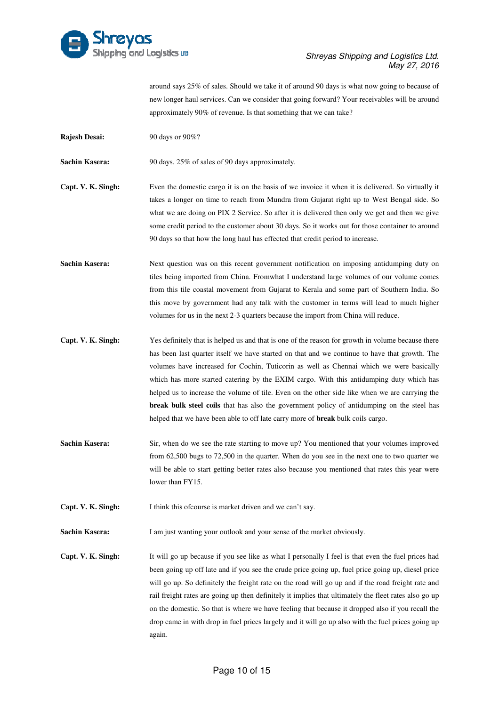

around says 25% of sales. Should we take it of around 90 days is what now going to because of new longer haul services. Can we consider that going forward? Your receivables will be around approximately 90% of revenue. Is that something that we can take?

**Rajesh Desai:** 90 days or 90%?

**Sachin Kasera:** 90 days. 25% of sales of 90 days approximately.

- **Capt. V. K. Singh:** Even the domestic cargo it is on the basis of we invoice it when it is delivered. So virtually it takes a longer on time to reach from Mundra from Gujarat right up to West Bengal side. So what we are doing on PIX 2 Service. So after it is delivered then only we get and then we give some credit period to the customer about 30 days. So it works out for those container to around 90 days so that how the long haul has effected that credit period to increase.
- **Sachin Kasera:** Next question was on this recent government notification on imposing antidumping duty on tiles being imported from China. Fromwhat I understand large volumes of our volume comes from this tile coastal movement from Gujarat to Kerala and some part of Southern India. So this move by government had any talk with the customer in terms will lead to much higher volumes for us in the next 2-3 quarters because the import from China will reduce.
- **Capt. V. K. Singh:** Yes definitely that is helped us and that is one of the reason for growth in volume because there has been last quarter itself we have started on that and we continue to have that growth. The volumes have increased for Cochin, Tuticorin as well as Chennai which we were basically which has more started catering by the EXIM cargo. With this antidumping duty which has helped us to increase the volume of tile. Even on the other side like when we are carrying the **break bulk steel coils** that has also the government policy of antidumping on the steel has helped that we have been able to off late carry more of **break** bulk coils cargo. helped that we have been able to off late carry more of **break** bulk coils
- **Sachin Kasera:** Sir, when do we see the rate starting to move up? You mentioned that your volumes improved from 62,500 bugs to 72,500 in the quarter. When do you see in the next will be able to start getting better rates also because you mentioned that rates this year were lower than FY15. %, when do we see the rate starting to move up? You mentioned that your volumes improved m 62,500 bugs to 72,500 in the quarter. When do you see in the next one to two quarter we <br>I be able to start getting better rates al one to two quarter we

**Capt. V. K. Singh:** I think this ofcourse is market driven and we can't say.

**Sachin Kasera:** I am just wanting your outlook and your sense of the market obviously.

**Capt. V. K. Singh:** It will go up because if you see like as what I personally I feel is that even the fuel prices had been going up off late and if you see the crude price going up, fuel price going up, diesel price will go up. So definitely the freight rate on the road will go up and if the road freight rate and I am just wanting your outlook and your sense of the market obviously.<br>It will go up because if you see like as what I personally I feel is that even the fuel prices had<br>been going up off late and if you see the crude pric on the domestic. So that is where we have feeling that because it dropped also if you recall the drop came in with drop in fuel prices largely and it will go up also with the fuel prices going up again.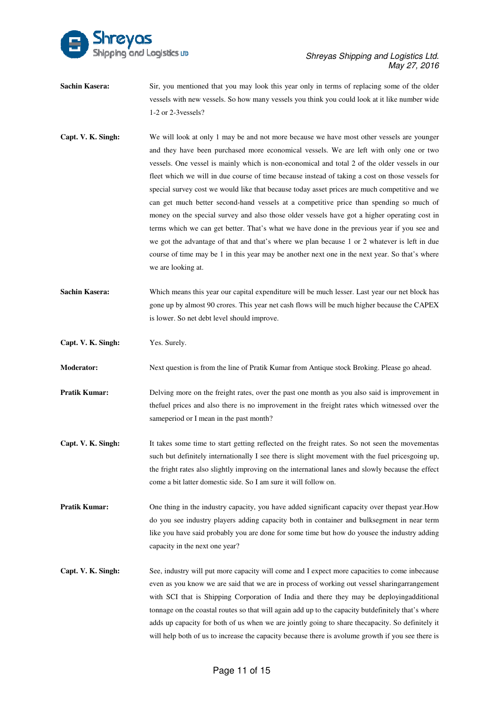

- **Sachin Kasera:** Sir, you mentioned that you may look this year only in terms of replacing some of the older vessels with new vessels. So how many vessels you think you could look at it like number wide 1-2 or 2-3 vessels?
- **Capt. V. K. Singh:** We will look at only 1 may be and not more because we have most other vessels are younger vessels with new vessels. So how many vessels you think you could look at it like number wide<br>1-2 or 2-3vessels?<br>We will look at only 1 may be and not more because we have most other vessels are younger<br>and they have been vessels. One vessel is mainly which is non-economical and total 2 of the older vessels in our fleet which we will in due course of time because instead of taking a cost on those vessels for special survey cost we would like that because today asset prices are much competitive and we can get much better second-hand vessels at a competitive price than spending so much of money on the special survey and also those older vessels have got a higher operating cost in terms which we can get better. That's what we have done in the previous year if you see and we got the advantage of that and that's where we plan because 1 or 2 whatever is left in due course of time may be 1 in this year may be another next one in the next year. So that's where we are looking at.
- **Sachin Kasera:** Which means this year our capital expenditure will be much lesser. Last year our net block has gone up by almost 90 crores. This year net cash flows will be much higher higher because the CAPEX is lower. So net debt level should improve. gone up by almost 90 crores. This year net cash flows will be much higher because the CAPE<br>is lower. So net debt level should improve.<br>**Capt. V. K. Singh:** Yes. Surely.<br>**Moderator:** Next question is from the line of Pratik
- **Capt. V. K. Singh:** Yes. Surely.

- **Pratik Kumar:** Delving more on the freight rates, over the past one month as you also said is improvement in thefuel prices and also there is no improvement in the freight rates which witnessed over the sameperiod or I mean in the past month?
- **Capt. V. K. Singh:** It takes some time to start getting reflected on the freight rates. So not seen the movementas such but definitely internationally I see there is slight movement with the fuel pricesgoing up, the fright rates also slightly improving on the international lanes and slowly because the effect come a bit latter domestic side. So I am sure it will follow on.
- **Pratik Kumar:** One thing in the industry capacity, you have added significant capacity over the past year. How do you see industry players adding capacity both in container and bulksegment in near term do you see industry players adding capacity both in container and bulksegment in near term<br>like you have said probably you are done for some time but how do yousee the industry adding capacity in the next one year?
- Capt. V. K. Singh: See, industry will put more capacity will come and I expect more capacities to come inbecause even as you know we are said that we are in process of working out vessel sharingarrangement with SCI that is Shipping Corporation of India and there they may be deployingadditional tonnage on the coastal routes so that will again add up to the capacity butdefinitely that's where adds up capacity for both of us when we are jointly going to share thecapacity. So definitely it will help both of us to increase the capacity because there is avolume growth if you see there is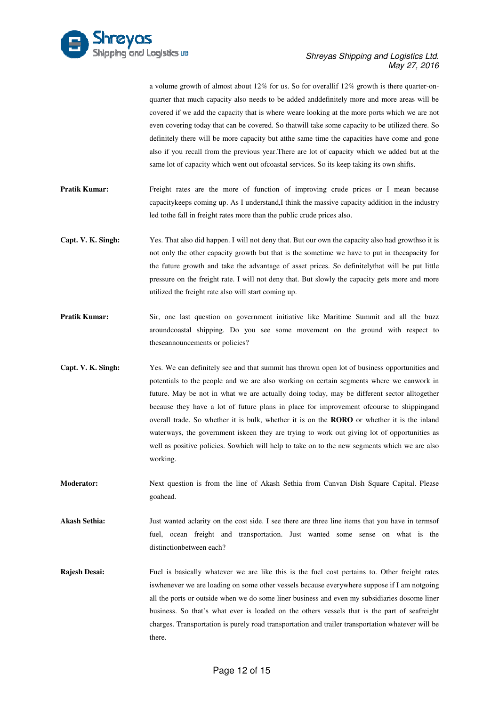

|                      | a volume growth of almost about $12\%$ for us. So for overallif $12\%$ growth is there quarter-on-<br>quarter that much capacity also needs to be added and definitely more and more areas will be<br>covered if we add the capacity that is where weare looking at the more ports which we are not<br>even covering today that can be covered. So that will take some capacity to be utilized there. So<br>definitely there will be more capacity but at the same time the capacities have come and gone<br>also if you recall from the previous year. There are lot of capacity which we added but at the<br>same lot of capacity which went out of coastal services. So its keep taking its own shifts. |
|----------------------|------------------------------------------------------------------------------------------------------------------------------------------------------------------------------------------------------------------------------------------------------------------------------------------------------------------------------------------------------------------------------------------------------------------------------------------------------------------------------------------------------------------------------------------------------------------------------------------------------------------------------------------------------------------------------------------------------------|
| <b>Pratik Kumar:</b> | Freight rates are the more of function of improving crude prices or I mean because<br>capacitykeeps coming up. As I understand, I think the massive capacity addition in the industry<br>led to the fall in freight rates more than the public crude prices also.                                                                                                                                                                                                                                                                                                                                                                                                                                          |
| Capt. V. K. Singh:   | Yes. That also did happen. I will not deny that. But our own the capacity also had growthso it is<br>not only the other capacity growth but that is the sometime we have to put in the apacity for<br>the future growth and take the advantage of asset prices. So definitely that will be put little<br>pressure on the freight rate. I will not deny that. But slowly the capacity gets more and more<br>utilized the freight rate also will start coming up.                                                                                                                                                                                                                                            |
| <b>Pratik Kumar:</b> | Sir, one last question on government initiative like Maritime Summit and all the buzz<br>aroundcoastal shipping. Do you see some movement on the ground with respect to<br>theseannouncements or policies?                                                                                                                                                                                                                                                                                                                                                                                                                                                                                                 |
| Capt. V. K. Singh:   | Yes. We can definitely see and that summit has thrown open lot of business opportunities and<br>potentials to the people and we are also working on certain segments where we canwork in<br>future. May be not in what we are actually doing today, may be different sector alltogether<br>because they have a lot of future plans in place for improvement ofcourse to shippingand<br>overall trade. So whether it is bulk, whether it is on the <b>RORO</b> or whether it is the inland<br>waterways, the government iskeen they are trying to work out giving lot of opportunities as<br>well as positive policies. Sowhich will help to take on to the new segments which we are also<br>working.      |
| <b>Moderator:</b>    | Next question is from the line of Akash Sethia from Canvan Dish Square Capital. Please<br>goahead.                                                                                                                                                                                                                                                                                                                                                                                                                                                                                                                                                                                                         |
| <b>Akash Sethia:</b> | Just wanted aclarity on the cost side. I see there are three line items that you have in termsof<br>fuel, ocean freight and transportation. Just wanted some sense on what is the<br>distinction between each?                                                                                                                                                                                                                                                                                                                                                                                                                                                                                             |
| Rajesh Desai:        | Fuel is basically whatever we are like this is the fuel cost pertains to. Other freight rates<br>is whenever we are loading on some other vessels because everywhere suppose if I am notgoing<br>all the ports or outside when we do some liner business and even my subsidiaries dosome liner<br>business. So that's what ever is loaded on the others vessels that is the part of seafreight<br>charges. Transportation is purely road transportation and trailer transportation whatever will be<br>there.                                                                                                                                                                                              |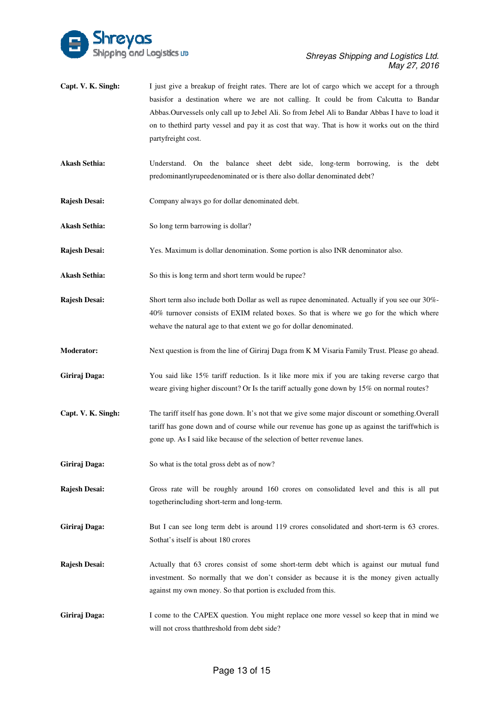

- **Capt. V. K. Singh:** basisfor a destination where we are not calling. It could be from Calcutta to Bandar Abbas.Ourvessels only call up to Jebel Ali. So from Jebel Ali to Bandar Abbas I have to load it on to thethird party vessel and pay it as cost that way. That is how it works out on the third partyfreight cost. I just give a breakup of freight rates. There are lot of cargo which we accept for a through
- Akash Sethia: Understand. On the balance sheet debt side, long-term borrowing, is the debt predominantlyrupeedenominated or is there also dollar denominated debt?
- **Rajesh Desai:** Company always go for dollar denominated debt.
- Akash Sethia: So long term barrowing is dollar?
- **Rajesh Desai:** Yes. Maximum is dollar denomination. Some portion is also INR denominator also.
- Akash Sethia: So this is long term and short term would be rupee?
- **Rajesh Desai:** Short term also include both Dollar as well as rupee denominated. Actually if you see our 30%-40% turnover consists of EXIM related boxes. So that is where we go for the which where wehave the natural age to that extent we go for dollar denominated.
- **Moderator:** Next question is from the line of Giriraj Daga from K M Visaria Family Trust. Please go ahead.
- Giriraj Daga: You said like 15% tariff reduction. Is it like more mix if you are taking reverse cargo that weare giving higher discount? Or Is the tariff actually gone down by 15% on normal routes?
- **Capt. V. K. Singh:** The tariff itself has gone down. It's not that we give some major discount or something.Overall tariff has gone down and of course while our revenue has gone up as against the tariffwhich is gone up. As I said like because of the selection of better revenue lanes lanes.
- Giriraj Daga: So what is the total gross debt as of now?
- **Rajesh Desai:** Gross rate will be roughly around 160 crores on consolidated level and this is all put togetherincluding short-term and long-term.
- Giriraj Daga: But I can see long term debt is around 119 crores consolidated and short-term is 63 crores. Sothat's it self is about 180 crores
- **Rajesh Desai:** Actually that 63 crores consist of some short-term debt which is against our mutual fund investment. So normally that we don't consider as because it is the money given actually against my own money. So that portion is excluded from this. some short-term debt wh<br>on't consider as because<br>on is excluded from this.<br>u might replace one more
- **Giriraj Daga:** will not cross thatthreshold from debt side? I come to the CAPEX question. You might replace one more vessel so keep that in mind we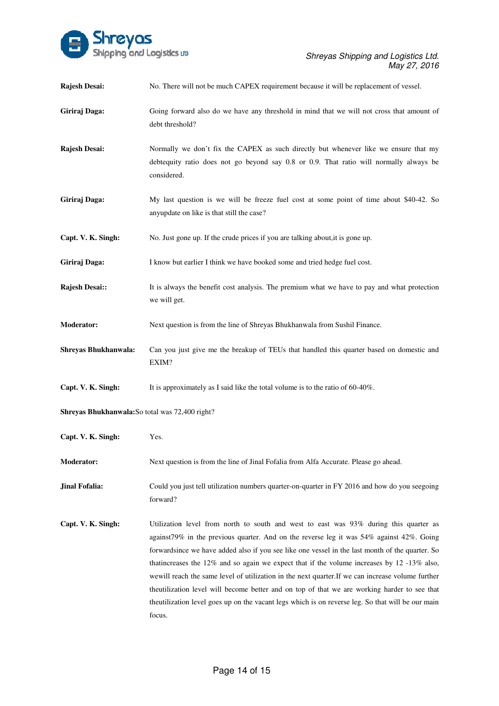

| Rajesh Desai:                                   | No. There will not be much CAPEX requirement because it will be replacement of vessel.                                                                                                                                                                                                                                                                                                                                                                                                                                                                                                                                                                                                                              |
|-------------------------------------------------|---------------------------------------------------------------------------------------------------------------------------------------------------------------------------------------------------------------------------------------------------------------------------------------------------------------------------------------------------------------------------------------------------------------------------------------------------------------------------------------------------------------------------------------------------------------------------------------------------------------------------------------------------------------------------------------------------------------------|
| Giriraj Daga:                                   | Going forward also do we have any threshold in mind that we will not cross that amount of<br>debt threshold?                                                                                                                                                                                                                                                                                                                                                                                                                                                                                                                                                                                                        |
| Rajesh Desai:                                   | Normally we don't fix the CAPEX as such directly but whenever like we ensure that my<br>debtequity ratio does not go beyond say 0.8 or 0.9. That ratio will normally always be<br>considered.                                                                                                                                                                                                                                                                                                                                                                                                                                                                                                                       |
| Giriraj Daga:                                   | My last question is we will be freeze fuel cost at some point of time about \$40-42. So<br>anyupdate on like is that still the case?                                                                                                                                                                                                                                                                                                                                                                                                                                                                                                                                                                                |
| Capt. V. K. Singh:                              | No. Just gone up. If the crude prices if you are talking about, it is gone up.                                                                                                                                                                                                                                                                                                                                                                                                                                                                                                                                                                                                                                      |
| Giriraj Daga:                                   | I know but earlier I think we have booked some and tried hedge fuel cost.                                                                                                                                                                                                                                                                                                                                                                                                                                                                                                                                                                                                                                           |
| Rajesh Desai::                                  | It is always the benefit cost analysis. The premium what we have to pay and what protection<br>we will get.                                                                                                                                                                                                                                                                                                                                                                                                                                                                                                                                                                                                         |
| Moderator:                                      | Next question is from the line of Shreyas Bhukhanwala from Sushil Finance.                                                                                                                                                                                                                                                                                                                                                                                                                                                                                                                                                                                                                                          |
| Shreyas Bhukhanwala:                            | Can you just give me the breakup of TEUs that handled this quarter based on domestic and<br>EXIM?                                                                                                                                                                                                                                                                                                                                                                                                                                                                                                                                                                                                                   |
| Capt. V. K. Singh:                              | It is approximately as I said like the total volume is to the ratio of $60-40\%$ .                                                                                                                                                                                                                                                                                                                                                                                                                                                                                                                                                                                                                                  |
| Shreyas Bhukhanwala: So total was 72,400 right? |                                                                                                                                                                                                                                                                                                                                                                                                                                                                                                                                                                                                                                                                                                                     |
| Capt. V. K. Singh:                              | Yes.                                                                                                                                                                                                                                                                                                                                                                                                                                                                                                                                                                                                                                                                                                                |
| <b>Moderator:</b>                               | Next question is from the line of Jinal Fofalia from Alfa Accurate. Please go ahead.                                                                                                                                                                                                                                                                                                                                                                                                                                                                                                                                                                                                                                |
| Jinal Fofalia:                                  | Could you just tell utilization numbers quarter-on-quarter in FY 2016 and how do you seegoing<br>forward?                                                                                                                                                                                                                                                                                                                                                                                                                                                                                                                                                                                                           |
| Capt. V. K. Singh:                              | Utilization level from north to south and west to east was $93\%$ during this quarter as<br>against 79% in the previous quarter. And on the reverse leg it was $54\%$ against $42\%$ . Going<br>forwardsince we have added also if you see like one vessel in the last month of the quarter. So<br>that increases the 12% and so again we expect that if the volume increases by 12 -13% also,<br>we will reach the same level of utilization in the next quarter. If we can increase volume further<br>theutilization level will become better and on top of that we are working harder to see that<br>theutilization level goes up on the vacant legs which is on reverse leg. So that will be our main<br>focus. |